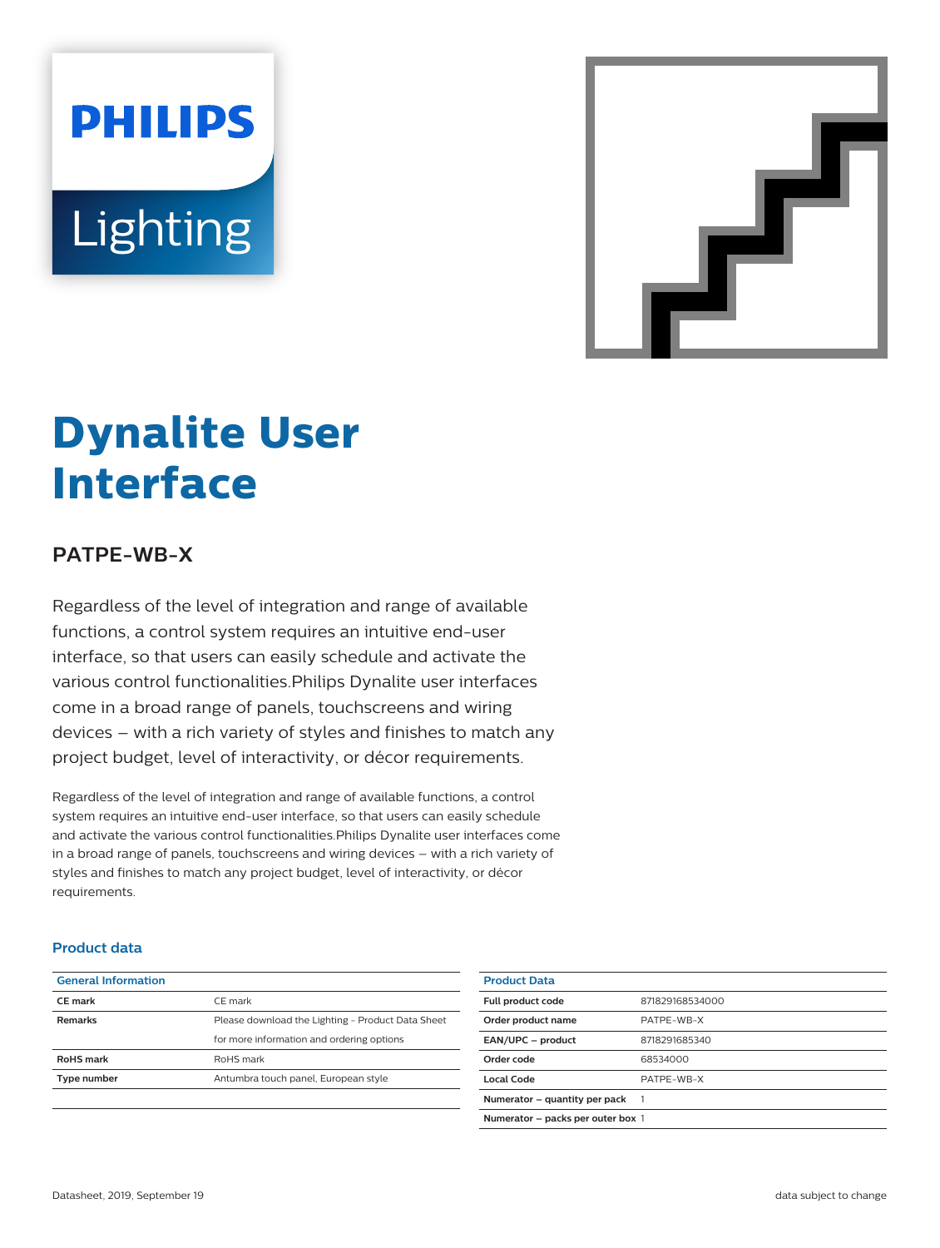# **PHILIPS Lighting**



# **Dynalite User Interface**

## **PATPE-WB-X**

Regardless of the level of integration and range of available functions, a control system requires an intuitive end-user interface, so that users can easily schedule and activate the various control functionalities.Philips Dynalite user interfaces come in a broad range of panels, touchscreens and wiring devices – with a rich variety of styles and finishes to match any project budget, level of interactivity, or décor requirements.

Regardless of the level of integration and range of available functions, a control system requires an intuitive end-user interface, so that users can easily schedule and activate the various control functionalities.Philips Dynalite user interfaces come in a broad range of panels, touchscreens and wiring devices – with a rich variety of styles and finishes to match any project budget, level of interactivity, or décor requirements.

#### **Product data**

| <b>General Information</b> |                                                   |
|----------------------------|---------------------------------------------------|
| CF mark                    | CF mark                                           |
| <b>Remarks</b>             | Please download the Lighting - Product Data Sheet |
|                            | for more information and ordering options         |
| <b>RoHS</b> mark           | RoHS mark                                         |
| Type number                | Antumbra touch panel, European style              |
|                            |                                                   |

| <b>Product Data</b>               |                 |
|-----------------------------------|-----------------|
| Full product code                 | 871829168534000 |
| Order product name                | PATPF-WB-X      |
| EAN/UPC - product                 | 8718291685340   |
| Order code                        | 68534000        |
| Local Code                        | PATPF-WB-X      |
| Numerator – quantity per pack     |                 |
| Numerator - packs per outer box 1 |                 |